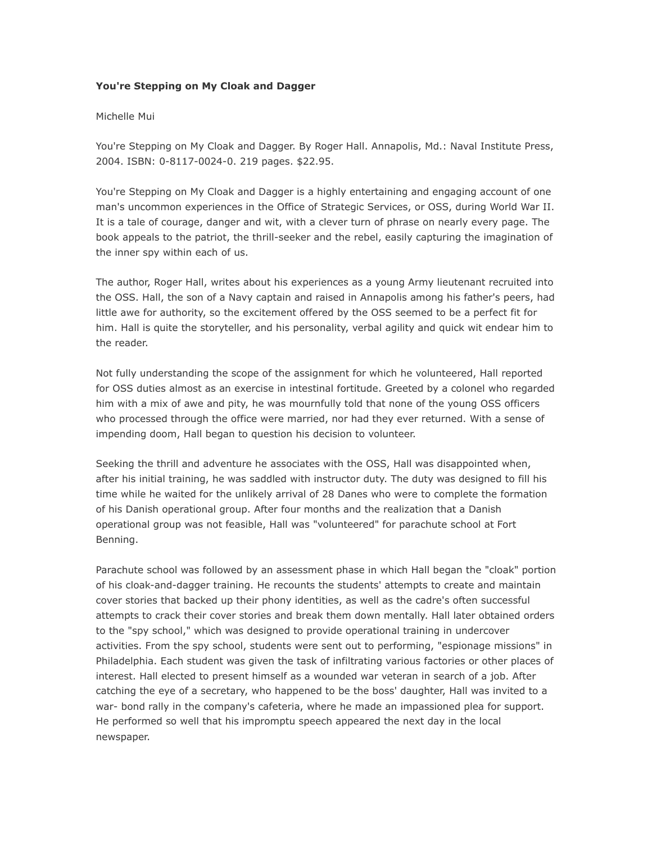## **You're Stepping on My Cloak and Dagger**

## Michelle Mui

You're Stepping on My Cloak and Dagger. By Roger Hall. Annapolis, Md.: Naval Institute Press, 2004. ISBN: 0-8117-0024-0. 219 pages. \$22.95.

You're Stepping on My Cloak and Dagger is a highly entertaining and engaging account of one man's uncommon experiences in the Office of Strategic Services, or OSS, during World War II. It is a tale of courage, danger and wit, with a clever turn of phrase on nearly every page. The book appeals to the patriot, the thrill-seeker and the rebel, easily capturing the imagination of the inner spy within each of us.

The author, Roger Hall, writes about his experiences as a young Army lieutenant recruited into the OSS. Hall, the son of a Navy captain and raised in Annapolis among his father's peers, had little awe for authority, so the excitement offered by the OSS seemed to be a perfect fit for him. Hall is quite the storyteller, and his personality, verbal agility and quick wit endear him to the reader.

Not fully understanding the scope of the assignment for which he volunteered, Hall reported for OSS duties almost as an exercise in intestinal fortitude. Greeted by a colonel who regarded him with a mix of awe and pity, he was mournfully told that none of the young OSS officers who processed through the office were married, nor had they ever returned. With a sense of impending doom, Hall began to question his decision to volunteer.

Seeking the thrill and adventure he associates with the OSS, Hall was disappointed when, after his initial training, he was saddled with instructor duty. The duty was designed to fill his time while he waited for the unlikely arrival of 28 Danes who were to complete the formation of his Danish operational group. After four months and the realization that a Danish operational group was not feasible, Hall was "volunteered" for parachute school at Fort Benning.

Parachute school was followed by an assessment phase in which Hall began the "cloak" portion of his cloak-and-dagger training. He recounts the students' attempts to create and maintain cover stories that backed up their phony identities, as well as the cadre's often successful attempts to crack their cover stories and break them down mentally. Hall later obtained orders to the "spy school," which was designed to provide operational training in undercover activities. From the spy school, students were sent out to performing, "espionage missions" in Philadelphia. Each student was given the task of infiltrating various factories or other places of interest. Hall elected to present himself as a wounded war veteran in search of a job. After catching the eye of a secretary, who happened to be the boss' daughter, Hall was invited to a war- bond rally in the company's cafeteria, where he made an impassioned plea for support. He performed so well that his impromptu speech appeared the next day in the local newspaper.